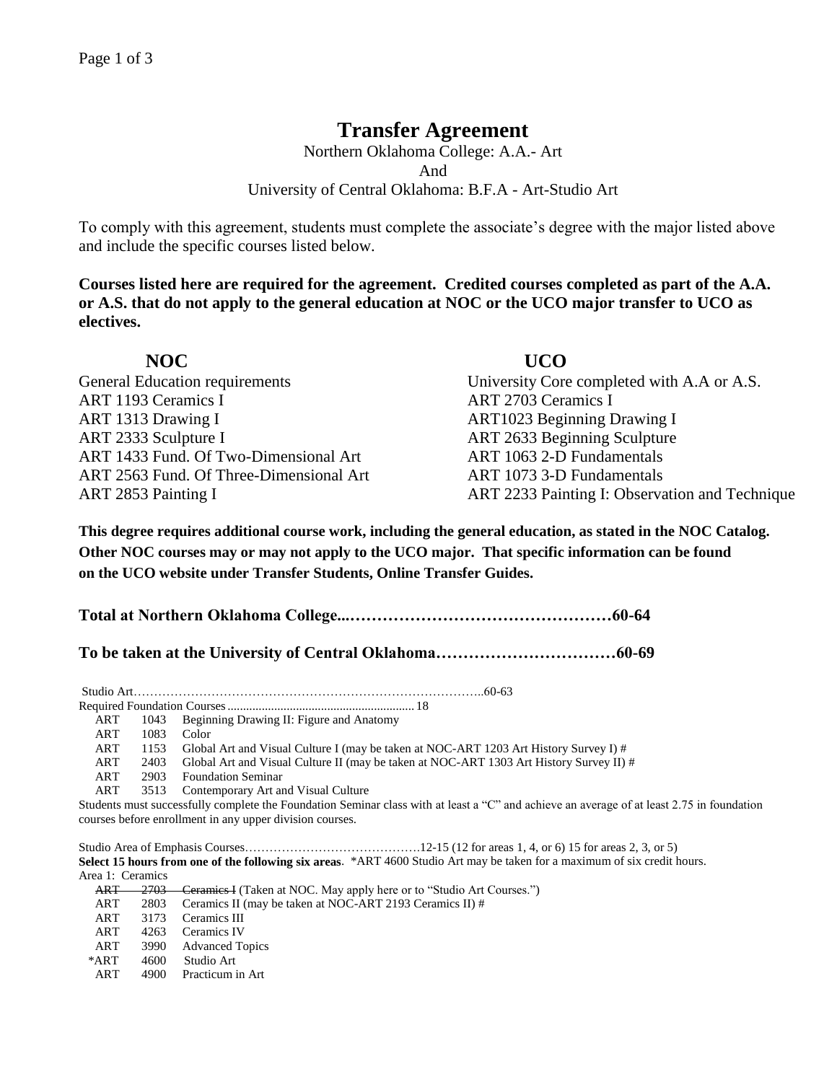## **Transfer Agreement**

Northern Oklahoma College: A.A.- Art And University of Central Oklahoma: B.F.A - Art-Studio Art

To comply with this agreement, students must complete the associate's degree with the major listed above and include the specific courses listed below.

**Courses listed here are required for the agreement. Credited courses completed as part of the A.A. or A.S. that do not apply to the general education at NOC or the UCO major transfer to UCO as electives.**

| NOC                                     | <b>UCO</b>                                     |
|-----------------------------------------|------------------------------------------------|
| <b>General Education requirements</b>   | University Core completed with A.A or A.S.     |
| ART 1193 Ceramics I                     | ART 2703 Ceramics I                            |
| ART 1313 Drawing I                      | <b>ART1023 Beginning Drawing I</b>             |
| ART 2333 Sculpture I                    | ART 2633 Beginning Sculpture                   |
| ART 1433 Fund. Of Two-Dimensional Art   | ART 1063 2-D Fundamentals                      |
| ART 2563 Fund. Of Three-Dimensional Art | ART 1073 3-D Fundamentals                      |
| ART 2853 Painting I                     | ART 2233 Painting I: Observation and Technique |

**This degree requires additional course work, including the general education, as stated in the NOC Catalog. Other NOC courses may or may not apply to the UCO major. That specific information can be found on the UCO website under Transfer Students, Online Transfer Guides.** 

**Total at Northern Oklahoma College...…………………………………………60-64**

**To be taken at the University of Central Oklahoma……………………………60-69**

| ART                                                                                                                                        | 1043 | Beginning Drawing II: Figure and Anatomy                                                |  |
|--------------------------------------------------------------------------------------------------------------------------------------------|------|-----------------------------------------------------------------------------------------|--|
| ART                                                                                                                                        | 1083 | Color                                                                                   |  |
| ART                                                                                                                                        | 1153 | Global Art and Visual Culture I (may be taken at NOC-ART 1203 Art History Survey I) #   |  |
| ART                                                                                                                                        | 2403 | Global Art and Visual Culture II (may be taken at NOC-ART 1303 Art History Survey II) # |  |
| ART                                                                                                                                        | 2903 | <b>Foundation Seminar</b>                                                               |  |
| ART                                                                                                                                        | 3513 | Contemporary Art and Visual Culture                                                     |  |
| Students must successfully complete the Foundation Seminar class with at least a "C" and achieve an average of at least 2.75 in foundation |      |                                                                                         |  |
| courses before enrollment in any upper division courses.                                                                                   |      |                                                                                         |  |
|                                                                                                                                            |      |                                                                                         |  |
|                                                                                                                                            |      |                                                                                         |  |
| Select 15 hours from one of the following six areas. *ART 4600 Studio Art may be taken for a maximum of six credit hours.                  |      |                                                                                         |  |
| Area 1: Ceramics                                                                                                                           |      |                                                                                         |  |
| ART                                                                                                                                        |      | 2703 Ceramies I (Taken at NOC. May apply here or to "Studio Art Courses.")              |  |
| ART                                                                                                                                        | 2803 | Ceramics II (may be taken at NOC-ART 2193 Ceramics II) #                                |  |
| ART                                                                                                                                        | 3173 | Ceramics III                                                                            |  |
| ART                                                                                                                                        | 4263 | Ceramics IV                                                                             |  |
| ART                                                                                                                                        | 3990 | <b>Advanced Topics</b>                                                                  |  |
| *ART                                                                                                                                       | 4600 | Studio Art                                                                              |  |

ART 4900 Practicum in Art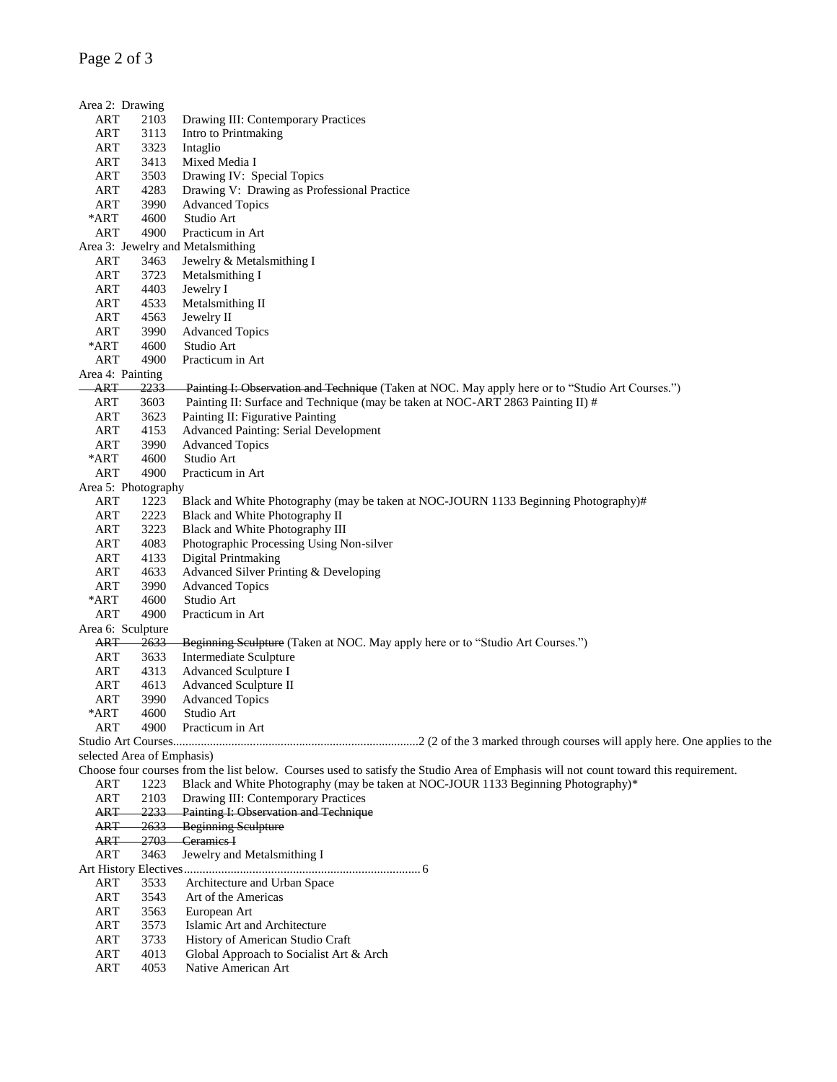| Area 2: Drawing            |                         |                                                                                                                                      |
|----------------------------|-------------------------|--------------------------------------------------------------------------------------------------------------------------------------|
| <b>ART</b>                 | 2103                    | Drawing III: Contemporary Practices                                                                                                  |
| ART                        | 3113                    | Intro to Printmaking                                                                                                                 |
| ART                        | 3323                    | Intaglio                                                                                                                             |
| ART                        | 3413                    | Mixed Media I                                                                                                                        |
| ART                        | 3503                    | Drawing IV: Special Topics                                                                                                           |
| ART                        | 4283                    | Drawing V: Drawing as Professional Practice                                                                                          |
| ART                        | 3990                    | <b>Advanced Topics</b>                                                                                                               |
| *ART                       | 4600                    | Studio Art                                                                                                                           |
| ART                        | 4900                    | Practicum in Art                                                                                                                     |
|                            |                         | Area 3: Jewelry and Metalsmithing                                                                                                    |
| ART                        | 3463                    | Jewelry & Metalsmithing I                                                                                                            |
| ART                        | 3723                    | Metalsmithing I                                                                                                                      |
| ART                        | 4403                    | Jewelry I                                                                                                                            |
| ART                        | 4533                    | Metalsmithing II                                                                                                                     |
| ART                        | 4563                    | Jewelry II                                                                                                                           |
| ART                        | 3990                    | <b>Advanced Topics</b>                                                                                                               |
| *ART                       | 4600                    | Studio Art                                                                                                                           |
| <b>ART</b>                 | 4900                    | Practicum in Art                                                                                                                     |
| Area 4: Painting           |                         |                                                                                                                                      |
| ART                        | <del>2233</del>         | <b>Painting I: Observation and Technique</b> (Taken at NOC. May apply here or to "Studio Art Courses.")                              |
| ART                        | 3603                    | Painting II: Surface and Technique (may be taken at NOC-ART 2863 Painting II) #                                                      |
| ART                        | 3623                    | Painting II: Figurative Painting                                                                                                     |
| ART                        | 4153                    | <b>Advanced Painting: Serial Development</b>                                                                                         |
| ART                        | 3990                    | <b>Advanced Topics</b>                                                                                                               |
| *ART                       | 4600                    | Studio Art                                                                                                                           |
| ART                        | 4900                    | Practicum in Art                                                                                                                     |
| Area 5: Photography        |                         |                                                                                                                                      |
| ART                        | 1223                    | Black and White Photography (may be taken at NOC-JOURN 1133 Beginning Photography)#                                                  |
| ART                        | 2223                    | Black and White Photography II                                                                                                       |
| ART                        | 3223                    | Black and White Photography III                                                                                                      |
| ART                        | 4083                    | Photographic Processing Using Non-silver                                                                                             |
| ART                        | 4133                    | <b>Digital Printmaking</b>                                                                                                           |
| ART                        | 4633                    | Advanced Silver Printing & Developing                                                                                                |
| ART                        | 3990                    | <b>Advanced Topics</b>                                                                                                               |
| *ART                       | 4600                    | Studio Art                                                                                                                           |
| <b>ART</b>                 | 4900                    | Practicum in Art                                                                                                                     |
| Area 6: Sculpture          |                         |                                                                                                                                      |
| <b>ART</b><br>ART          | <del>2633</del><br>3633 | <b>Beginning Seulpture</b> (Taken at NOC. May apply here or to "Studio Art Courses.")                                                |
| ART                        | 4313                    | Intermediate Sculpture<br>Advanced Sculpture I                                                                                       |
| ART                        | 4613                    | Advanced Sculpture II                                                                                                                |
| <b>ART</b>                 | 3990                    | <b>Advanced Topics</b>                                                                                                               |
| $*ART$                     | 4600                    | Studio Art                                                                                                                           |
| <b>ART</b>                 | 4900                    | Practicum in Art                                                                                                                     |
|                            |                         |                                                                                                                                      |
| selected Area of Emphasis) |                         |                                                                                                                                      |
|                            |                         | Choose four courses from the list below. Courses used to satisfy the Studio Area of Emphasis will not count toward this requirement. |
| ART                        | 1223                    | Black and White Photography (may be taken at NOC-JOUR 1133 Beginning Photography)*                                                   |
| ART                        | 2103                    | Drawing III: Contemporary Practices                                                                                                  |
| <b>ART</b>                 |                         | 2233 Painting I: Observation and Technique                                                                                           |
| <b>ART</b>                 |                         | 2633 Beginning Sculpture                                                                                                             |
| <b>ART</b>                 |                         | 2703 Ceramics I                                                                                                                      |
| <b>ART</b>                 | 3463                    | Jewelry and Metalsmithing I                                                                                                          |
|                            |                         |                                                                                                                                      |
| ART                        | 3533                    | Architecture and Urban Space                                                                                                         |
| ART                        | 3543                    | Art of the Americas                                                                                                                  |
| ART                        | 3563                    | European Art                                                                                                                         |
| ART                        | 3573                    | Islamic Art and Architecture                                                                                                         |
| ART                        | 3733                    | History of American Studio Craft                                                                                                     |
| ART                        | 4013                    | Global Approach to Socialist Art & Arch                                                                                              |
| ART                        | 4053                    | Native American Art                                                                                                                  |
|                            |                         |                                                                                                                                      |